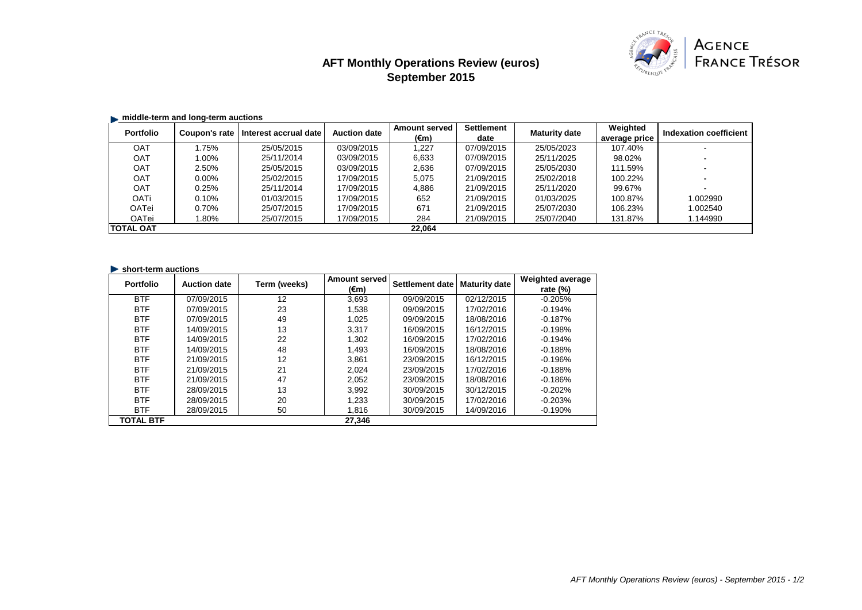# **AFT Monthly Operations Review (euros) September 2015**



## $\blacksquare$  middle-term and long-term auctions

| <b>Portfolio</b> | Coupon's rate | Interest accrual date | <b>Auction date</b> | <b>Amount served</b> | Settlement | <b>Maturity date</b> | Weighted      | Indexation coefficient |
|------------------|---------------|-----------------------|---------------------|----------------------|------------|----------------------|---------------|------------------------|
|                  |               |                       |                     | (€m)                 | date       |                      | average price |                        |
| <b>OAT</b>       | 1.75%         | 25/05/2015            | 03/09/2015          | 1.227                | 07/09/2015 | 25/05/2023           | 107.40%       |                        |
| <b>OAT</b>       | 1.00%         | 25/11/2014            | 03/09/2015          | 6,633                | 07/09/2015 | 25/11/2025           | 98.02%        |                        |
| OAT              | 2.50%         | 25/05/2015            | 03/09/2015          | 2,636                | 07/09/2015 | 25/05/2030           | 111.59%       |                        |
| <b>OAT</b>       | $0.00\%$      | 25/02/2015            | 17/09/2015          | 5,075                | 21/09/2015 | 25/02/2018           | 100.22%       |                        |
| OAT              | 0.25%         | 25/11/2014            | 17/09/2015          | 4,886                | 21/09/2015 | 25/11/2020           | 99.67%        |                        |
| <b>OATi</b>      | 0.10%         | 01/03/2015            | 17/09/2015          | 652                  | 21/09/2015 | 01/03/2025           | 100.87%       | 1.002990               |
| OATei            | 0.70%         | 25/07/2015            | 17/09/2015          | 671                  | 21/09/2015 | 25/07/2030           | 106.23%       | 1.002540               |
| OATei            | 1.80%         | 25/07/2015            | 17/09/2015          | 284                  | 21/09/2015 | 25/07/2040           | 131.87%       | 1.144990               |
| <b>TOTAL OAT</b> |               |                       |                     | 22.064               |            |                      |               |                        |

#### **Short-term auctions**

| <b>Portfolio</b> | <b>Auction date</b> | Term (weeks) | <b>Amount served</b> | Settlement date | <b>Maturity date</b> | <b>Weighted average</b> |
|------------------|---------------------|--------------|----------------------|-----------------|----------------------|-------------------------|
|                  |                     |              | (€m)                 |                 |                      | rate $(\%)$             |
| <b>BTF</b>       | 07/09/2015          | 12           | 3.693                | 09/09/2015      | 02/12/2015           | $-0.205%$               |
| <b>BTF</b>       | 07/09/2015          | 23           | 1.538                | 09/09/2015      | 17/02/2016           | $-0.194%$               |
| <b>BTF</b>       | 07/09/2015          | 49           | 1.025                | 09/09/2015      | 18/08/2016           | $-0.187%$               |
| <b>BTF</b>       | 14/09/2015          | 13           | 3.317                | 16/09/2015      | 16/12/2015           | $-0.198%$               |
| <b>BTF</b>       | 14/09/2015          | 22           | 1.302                | 16/09/2015      | 17/02/2016           | $-0.194%$               |
| <b>BTF</b>       | 14/09/2015          | 48           | 1.493                | 16/09/2015      | 18/08/2016           | $-0.188%$               |
| <b>BTF</b>       | 21/09/2015          | 12           | 3.861                | 23/09/2015      | 16/12/2015           | $-0.196%$               |
| <b>BTF</b>       | 21/09/2015          | 21           | 2.024                | 23/09/2015      | 17/02/2016           | $-0.188%$               |
| <b>BTF</b>       | 21/09/2015          | 47           | 2.052                | 23/09/2015      | 18/08/2016           | $-0.186%$               |
| <b>BTF</b>       | 28/09/2015          | 13           | 3.992                | 30/09/2015      | 30/12/2015           | $-0.202%$               |
| <b>BTF</b>       | 28/09/2015          | 20           | 1.233                | 30/09/2015      | 17/02/2016           | $-0.203%$               |
| <b>BTF</b>       | 28/09/2015          | 50           | 1,816                | 30/09/2015      | 14/09/2016           | $-0.190%$               |
| <b>TOTAL BTF</b> |                     |              | 27.346               |                 |                      |                         |